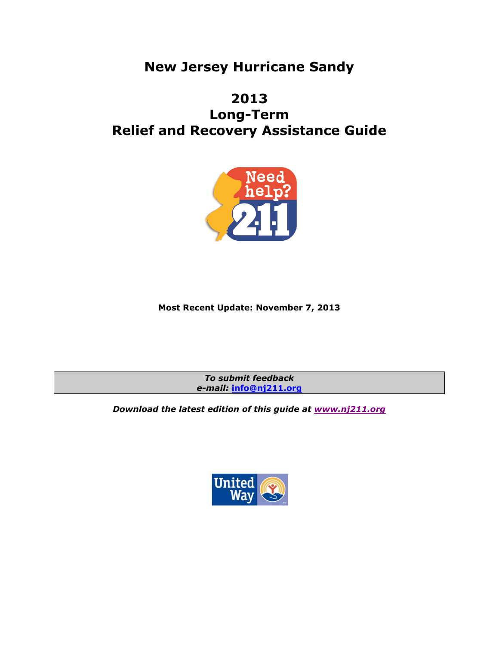# **New Jersey Hurricane Sandy**

# **2013 Long-Term Relief and Recovery Assistance Guide**



### **Most Recent Update: November 7, 2013**

*To submit feedback e-mail:* **[info@nj211.org](mailto:info@nj211.org)**

*Download the latest edition of this guide at [www.nj211.org](http://www.nj211.org/)*

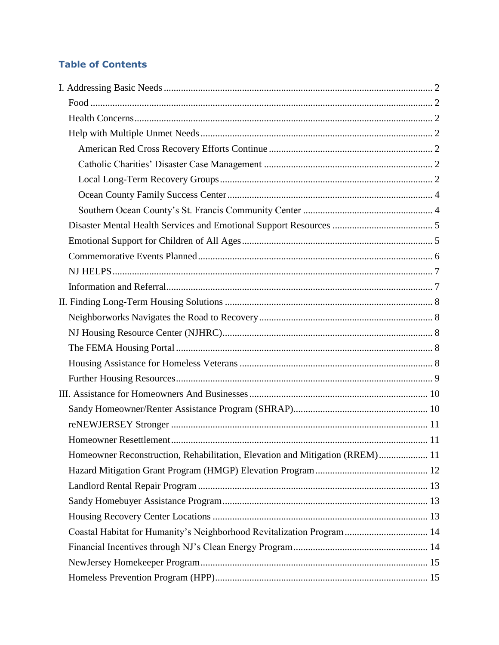# **Table of Contents**

| Homeowner Reconstruction, Rehabilitation, Elevation and Mitigation (RREM) 11 |  |
|------------------------------------------------------------------------------|--|
|                                                                              |  |
|                                                                              |  |
|                                                                              |  |
|                                                                              |  |
| Coastal Habitat for Humanity's Neighborhood Revitalization Program 14        |  |
|                                                                              |  |
|                                                                              |  |
|                                                                              |  |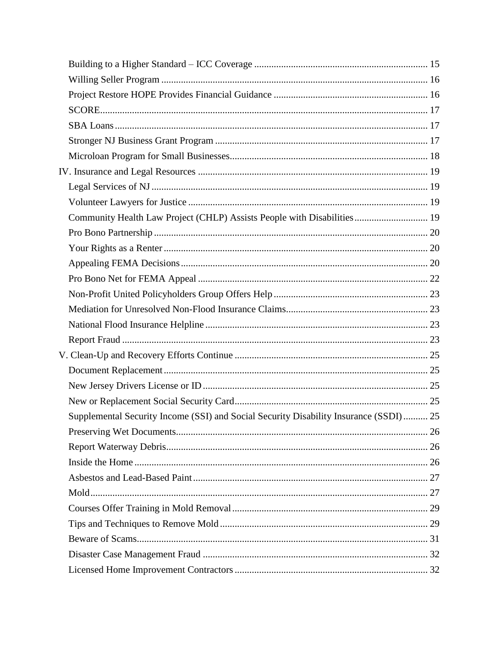| Community Health Law Project (CHLP) Assists People with Disabilities 19               |  |
|---------------------------------------------------------------------------------------|--|
|                                                                                       |  |
|                                                                                       |  |
|                                                                                       |  |
|                                                                                       |  |
|                                                                                       |  |
|                                                                                       |  |
|                                                                                       |  |
|                                                                                       |  |
|                                                                                       |  |
|                                                                                       |  |
|                                                                                       |  |
|                                                                                       |  |
| Supplemental Security Income (SSI) and Social Security Disability Insurance (SSDI) 25 |  |
|                                                                                       |  |
|                                                                                       |  |
|                                                                                       |  |
|                                                                                       |  |
|                                                                                       |  |
|                                                                                       |  |
|                                                                                       |  |
|                                                                                       |  |
|                                                                                       |  |
|                                                                                       |  |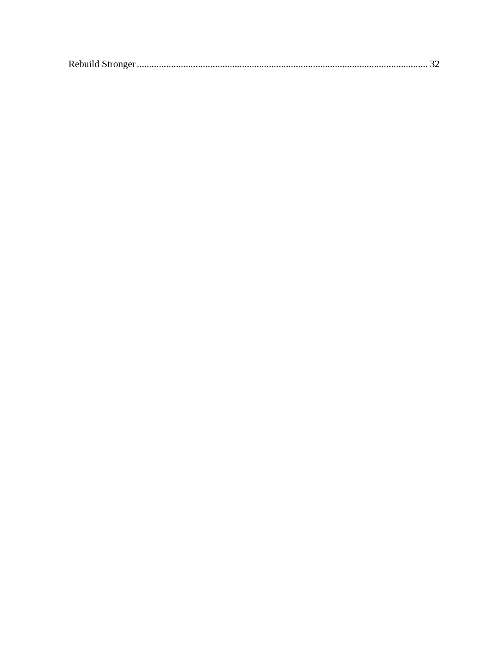|--|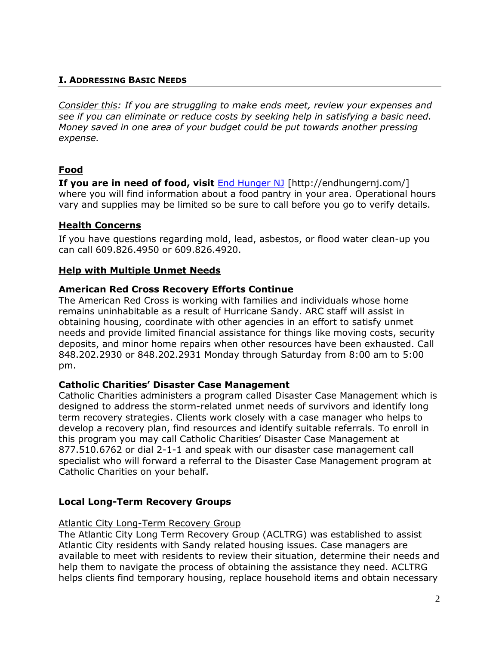### <span id="page-4-0"></span>**I. ADDRESSING BASIC NEEDS**

*Consider this: If you are struggling to make ends meet, review your expenses and see if you can eliminate or reduce costs by seeking help in satisfying a basic need. Money saved in one area of your budget could be put towards another pressing expense.*

### <span id="page-4-1"></span>**Food**

**If you are in need of food, visit <b>[End Hunger NJ](http://www.endhungernj.org/)** [http://endhungernj.com/] where you will find information about a food pantry in your area. Operational hours vary and supplies may be limited so be sure to call before you go to verify details.

### <span id="page-4-2"></span>**Health Concerns**

If you have questions regarding mold, lead, asbestos, or flood water clean-up you can call 609.826.4950 or 609.826.4920.

### <span id="page-4-3"></span>**Help with Multiple Unmet Needs**

### <span id="page-4-4"></span>**American Red Cross Recovery Efforts Continue**

The American Red Cross is working with families and individuals whose home remains uninhabitable as a result of Hurricane Sandy. ARC staff will assist in obtaining housing, coordinate with other agencies in an effort to satisfy unmet needs and provide limited financial assistance for things like moving costs, security deposits, and minor home repairs when other resources have been exhausted. Call 848.202.2930 or 848.202.2931 Monday through Saturday from 8:00 am to 5:00 pm.

### <span id="page-4-5"></span>**Catholic Charities' Disaster Case Management**

Catholic Charities administers a program called Disaster Case Management which is designed to address the storm-related unmet needs of survivors and identify long term recovery strategies. Clients work closely with a case manager who helps to develop a recovery plan, find resources and identify suitable referrals. To enroll in this program you may call Catholic Charities' Disaster Case Management at 877.510.6762 or dial 2-1-1 and speak with our disaster case management call specialist who will forward a referral to the Disaster Case Management program at Catholic Charities on your behalf.

### <span id="page-4-6"></span>**Local Long-Term Recovery Groups**

#### Atlantic City Long-Term Recovery Group

The Atlantic City Long Term Recovery Group (ACLTRG) was established to assist Atlantic City residents with Sandy related housing issues. Case managers are available to meet with residents to review their situation, determine their needs and help them to navigate the process of obtaining the assistance they need. ACLTRG helps clients find temporary housing, replace household items and obtain necessary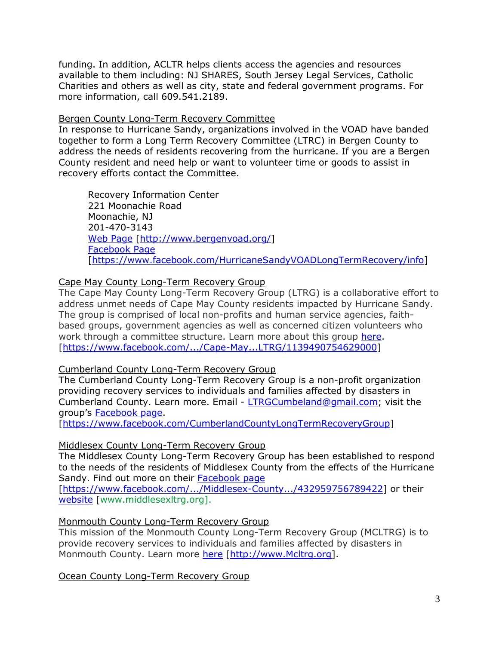funding. In addition, ACLTR helps clients access the agencies and resources available to them including: NJ SHARES, South Jersey Legal Services, Catholic Charities and others as well as city, state and federal government programs. For more information, call 609.541.2189.

### Bergen County Long-Term Recovery Committee

In response to Hurricane Sandy, organizations involved in the VOAD have banded together to form a Long Term Recovery Committee (LTRC) in Bergen County to address the needs of residents recovering from the hurricane. If you are a Bergen County resident and need help or want to volunteer time or goods to assist in recovery efforts contact the Committee.

Recovery Information Center 221 Moonachie Road Moonachie, NJ 201-470-3143 [Web Page](http://www.bergenvoad.org/) [\[http://www.bergenvoad.org/\]](http://www.bergenvoad.org/) [Facebook Page](https://www.facebook.com/HurricaneSandyVOADLongTermRecovery/info) [\[https://www.facebook.com/HurricaneSandyVOADLongTermRecovery/info\]](https://www.facebook.com/HurricaneSandyVOADLongTermRecovery/info)

### Cape May County Long-Term Recovery Group

The Cape May County Long-Term Recovery Group (LTRG) is a collaborative effort to address unmet needs of Cape May County residents impacted by Hurricane Sandy. The group is comprised of local non-profits and human service agencies, faithbased groups, government agencies as well as concerned citizen volunteers who work through a committee structure. Learn more about this group [here.](https://www.facebook.com/.../Cape-May...LTRG/1139490754629000) [\[https://www.facebook.com/.../Cape-May...LTRG/1139490754629000\]](https://www.facebook.com/.../Cape-May...LTRG/1139490754629000)

### Cumberland County Long-Term Recovery Group

The Cumberland County Long-Term Recovery Group is a non-profit organization providing recovery services to individuals and families affected by disasters in Cumberland County. Learn more. Email - [LTRGCumbeland@gmail.com;](mailto:LTRGCumbeland@gmail.com) visit the group's [Facebook page.](https://www.facebook.com/CumberlandCountyLongTermRecoveryGroup)

[\[https://www.facebook.com/CumberlandCountyLongTermRecoveryGroup\]](https://www.facebook.com/CumberlandCountyLongTermRecoveryGroup)

#### Middlesex County Long-Term Recovery Group

The Middlesex County Long-Term Recovery Group has been established to respond to the needs of the residents of Middlesex County from the effects of the Hurricane Sandy. Find out more on their [Facebook page](https://www.facebook.com/.../Middlesex-County.../432959756789422)

[\[https://www.facebook.com/.../Middlesex-County.../432959756789422\]](https://www.facebook.com/.../Middlesex-County.../432959756789422) or their [website](http://www.middlesexltrg.org/) [www.middlesexltrg.org].

### Monmouth County Long-Term Recovery Group

This mission of the Monmouth County Long-Term Recovery Group (MCLTRG) is to provide recovery services to individuals and families affected by disasters in Monmouth County. Learn more [here](http://www.mcltrg.org/) [\[http://www.Mcltrg.org\]](http://www.mcltrg.org/).

Ocean County Long-Term Recovery Group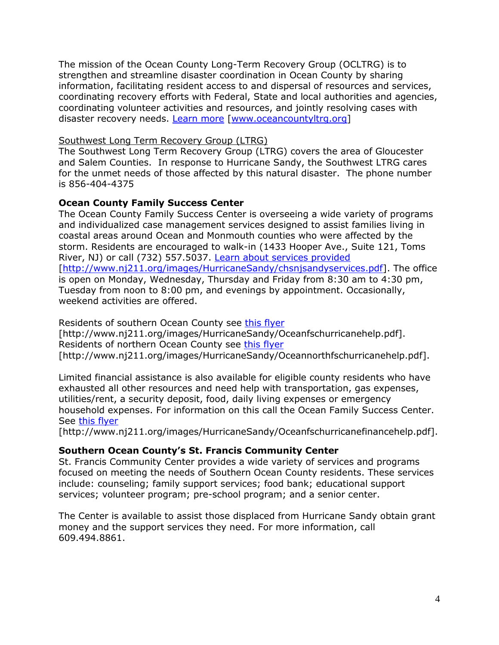The mission of the Ocean County Long-Term Recovery Group (OCLTRG) is to strengthen and streamline disaster coordination in Ocean County by sharing information, facilitating resident access to and dispersal of resources and services, coordinating recovery efforts with Federal, State and local authorities and agencies, coordinating volunteer activities and resources, and jointly resolving cases with disaster recovery needs. [Learn more](http://www.oceancountyltrg.org/) [\[www.oceancountyltrg.org\]](http://www.oceancountyltrg.org/)

### Southwest Long Term Recovery Group (LTRG)

The Southwest Long Term Recovery Group (LTRG) covers the area of Gloucester and Salem Counties. In response to Hurricane Sandy, the Southwest LTRG cares for the unmet needs of those affected by this natural disaster. The phone number is 856-404-4375

### <span id="page-6-0"></span>**Ocean County Family Success Center**

The Ocean County Family Success Center is overseeing a wide variety of programs and individualized case management services designed to assist families living in coastal areas around Ocean and Monmouth counties who were affected by the storm. Residents are encouraged to walk-in (1433 Hooper Ave., Suite 121, Toms River, NJ) or call (732) 557.5037. [Learn about services provided](http://www.nj211.org/images/HurricaneSandy/chsnjsandyservices.pdf) [\[http://www.nj211.org/images/HurricaneSandy/chsnjsandyservices.pdf\]](http://www.nj211.org/images/HurricaneSandy/chsnjsandyservices.pdf). The office is open on Monday, Wednesday, Thursday and Friday from 8:30 am to 4:30 pm, Tuesday from noon to 8:00 pm, and evenings by appointment. Occasionally, weekend activities are offered.

Residents of southern Ocean County see [this flyer](http://www.nj211.org/images/HurricaneSandy/Oceanfschurricanehelp.pdf) [http://www.nj211.org/images/HurricaneSandy/Oceanfschurricanehelp.pdf]. Residents of northern Ocean County see [this flyer](http://www.nj211.org/images/HurricaneSandy/Oceannorthfschurricanehelp.pdf) [http://www.nj211.org/images/HurricaneSandy/Oceannorthfschurricanehelp.pdf].

Limited financial assistance is also available for eligible county residents who have exhausted all other resources and need help with transportation, gas expenses, utilities/rent, a security deposit, food, daily living expenses or emergency household expenses. For information on this call the Ocean Family Success Center. See [this flyer](http://www.nj211.org/images/HurricaneSandy/Oceanfschurricanefinancehelp.pdf)

[http://www.nj211.org/images/HurricaneSandy/Oceanfschurricanefinancehelp.pdf].

#### <span id="page-6-1"></span>**Southern Ocean County's St. Francis Community Center**

St. Francis Community Center provides a wide variety of services and programs focused on meeting the needs of Southern Ocean County residents. These services include: counseling; family support services; food bank; educational support services; volunteer program; pre-school program; and a senior center.

The Center is available to assist those displaced from Hurricane Sandy obtain grant money and the support services they need. For more information, call 609.494.8861.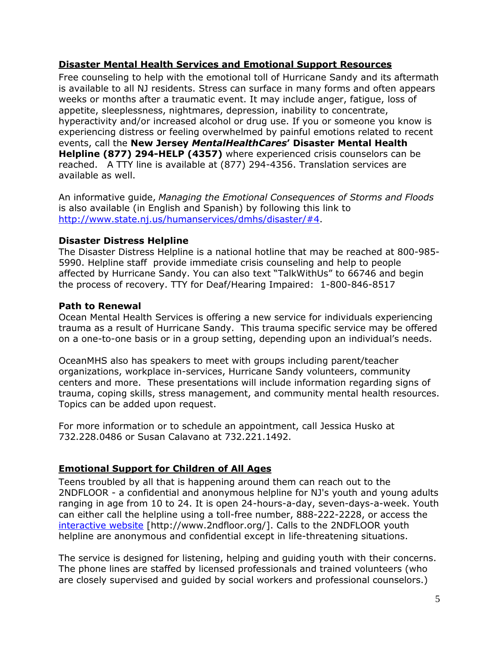### <span id="page-7-0"></span>**Disaster Mental Health Services and Emotional Support Resources**

Free counseling to help with the emotional toll of Hurricane Sandy and its aftermath is available to all NJ residents. Stress can surface in many forms and often appears weeks or months after a traumatic event. It may include anger, fatigue, loss of appetite, sleeplessness, nightmares, depression, inability to concentrate, hyperactivity and/or increased alcohol or drug use. If you or someone you know is experiencing distress or feeling overwhelmed by painful emotions related to recent events, call the **New Jersey** *MentalHealthCares***' Disaster Mental Health Helpline (877) 294-HELP (4357)** where experienced crisis counselors can be reached. A TTY line is available at (877) 294-4356. Translation services are available as well.

An informative guide, *Managing the Emotional Consequences of Storms and Floods* is also available (in English and Spanish) by following this link to [http://www.state.nj.us/humanservices/dmhs/disaster/#4.](http://www.state.nj.us/humanservices/dmhs/disaster/#4)

### **Disaster Distress Helpline**

The Disaster Distress Helpline is a national hotline that may be reached at 800-985- 5990. Helpline staff provide immediate crisis counseling and help to people affected by Hurricane Sandy. You can also text "TalkWithUs" to 66746 and begin the process of recovery. TTY for Deaf/Hearing Impaired: 1-800-846-8517

### **Path to Renewal**

Ocean Mental Health Services is offering a new service for individuals experiencing trauma as a result of Hurricane Sandy. This trauma specific service may be offered on a one-to-one basis or in a group setting, depending upon an individual's needs.

OceanMHS also has speakers to meet with groups including parent/teacher organizations, workplace in-services, Hurricane Sandy volunteers, community centers and more. These presentations will include information regarding signs of trauma, coping skills, stress management, and community mental health resources. Topics can be added upon request.

For more information or to schedule an appointment, call Jessica Husko at 732.228.0486 or Susan Calavano at 732.221.1492.

### <span id="page-7-1"></span>**Emotional Support for Children of All Ages**

Teens troubled by all that is happening around them can reach out to the 2NDFLOOR - a confidential and anonymous helpline for NJ's youth and young adults ranging in age from 10 to 24. It is open 24-hours-a-day, seven-days-a-week. Youth can either call the helpline using a toll-free number, 888-222-2228, or access the [interactive website](http://www.2ndfloor.org/) [http://www.2ndfloor.org/]. Calls to the 2NDFLOOR youth helpline are anonymous and confidential except in life-threatening situations.

The service is designed for listening, helping and guiding youth with their concerns. The phone lines are staffed by licensed professionals and trained volunteers (who are closely supervised and guided by social workers and professional counselors.)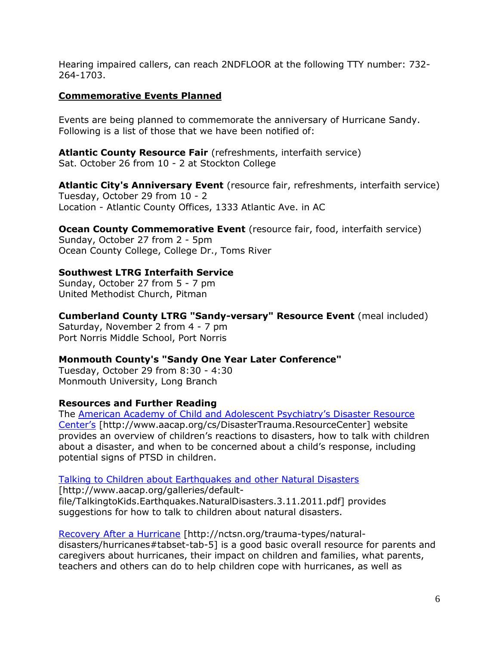Hearing impaired callers, can reach 2NDFLOOR at the following TTY number: 732- 264-1703.

### <span id="page-8-0"></span>**Commemorative Events Planned**

Events are being planned to commemorate the anniversary of Hurricane Sandy. Following is a list of those that we have been notified of:

**Atlantic County Resource Fair** (refreshments, interfaith service) Sat. October 26 from 10 - 2 at Stockton College

**Atlantic City's Anniversary Event** (resource fair, refreshments, interfaith service) Tuesday, October 29 from 10 - 2 Location - Atlantic County Offices, 1333 Atlantic Ave. in AC

**Ocean County Commemorative Event** (resource fair, food, interfaith service) Sunday, October 27 from 2 - 5pm Ocean County College, College Dr., Toms River

### **Southwest LTRG Interfaith Service**

Sunday, October 27 from 5 - 7 pm United Methodist Church, Pitman

**Cumberland County LTRG "Sandy-versary" Resource Event** (meal included) Saturday, November 2 from 4 - 7 pm Port Norris Middle School, Port Norris

### **Monmouth County's "Sandy One Year Later Conference"**

Tuesday, October 29 from 8:30 - 4:30 Monmouth University, Long Branch

### **Resources and Further Reading**

The [American Academy of Child and Adolescent Psychiatry's Disaster Resource](http://www.aacap.org/cs/DisasterTrauma.ResourceCenter)  [Cente](http://www.aacap.org/cs/DisasterTrauma.ResourceCenter)r's [http://www.aacap.org/cs/DisasterTrauma.ResourceCenter] website provides an overview of children's reactions to disasters, how to talk with children about a disaster, and when to be concerned about a child's response, including potential signs of PTSD in children.

#### [Talking to Children about Earthquakes and other Natural Disasters](http://www.aacap.org/galleries/default-file/TalkingtoKids.Earthquakes.NaturalDisasters.3.11.2011.pdf)

[http://www.aacap.org/galleries/defaultfile/TalkingtoKids.Earthquakes.NaturalDisasters.3.11.2011.pdf] provides suggestions for how to talk to children about natural disasters.

[Recovery After a Hurricane](http://nctsn.org/trauma-types/natural-disasters/hurricanes#tabset-tab-5) [http://nctsn.org/trauma-types/naturaldisasters/hurricanes#tabset-tab-5] is a good basic overall resource for parents and caregivers about hurricanes, their impact on children and families, what parents, teachers and others can do to help children cope with hurricanes, as well as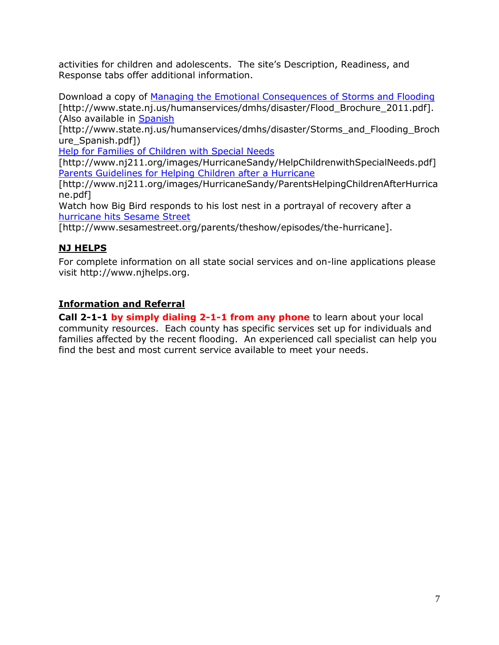activities for children and adolescents. The site's Description, Readiness, and Response tabs offer additional information.

Download a copy of Managing the Emotional [Consequences of Storms and Flooding](http://www.state.nj.us/humanservices/dmhs/disaster/Flood_Brochure_2011.pdf) [http://www.state.nj.us/humanservices/dmhs/disaster/Flood Brochure 2011.pdf]. (Also available in [Spanish](http://www.state.nj.us/humanservices/dmhs/disaster/Storms_and_Flooding_Brochure_Spanish.pdf)

[http://www.state.nj.us/humanservices/dmhs/disaster/Storms\_and\_Flooding\_Broch ure\_Spanish.pdf])

[Help for Families of Children with Special Needs](http://www.nj211.org/images/HurricaneSandy/HelpChildrenwithSpecialNeeds.pdf)

[http://www.nj211.org/images/HurricaneSandy/HelpChildrenwithSpecialNeeds.pdf] [Parents Guidelines for Helping Children after a Hurricane](http://www.nj211.org/images/HurricaneSandy/ParentsHelpingChildrenAfterHurricane.pdf)

[http://www.nj211.org/images/HurricaneSandy/ParentsHelpingChildrenAfterHurrica ne.pdf]

Watch how Big Bird responds to his lost nest in a portrayal of recovery after a [hurricane hits Sesame Street](http://www.sesamestreet.org/parents/theshow/episodes/the-hurricane)

<span id="page-9-0"></span>[http://www.sesamestreet.org/parents/theshow/episodes/the-hurricane].

# **NJ HELPS**

For complete information on all state social services and on-line applications please visit http://www.njhelps.org.

# <span id="page-9-1"></span>**Information and Referral**

**Call 2-1-1 by simply dialing 2-1-1 from any phone** to learn about your local community resources. Each county has specific services set up for individuals and families affected by the recent flooding. An experienced call specialist can help you find the best and most current service available to meet your needs.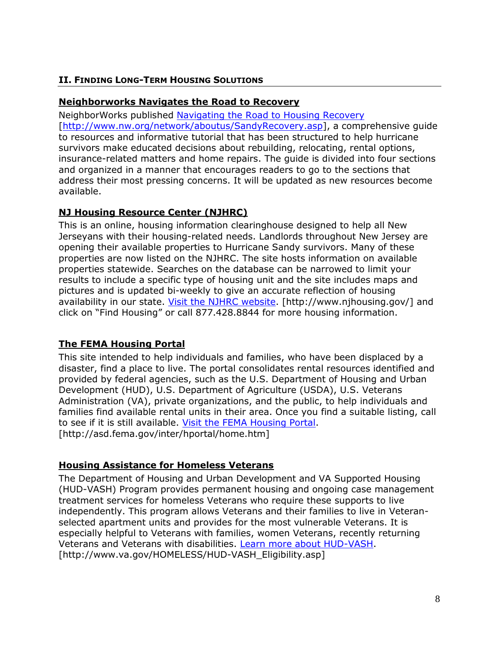### <span id="page-10-0"></span>**II. FINDING LONG-TERM HOUSING SOLUTIONS**

### <span id="page-10-1"></span>**Neighborworks Navigates the Road to Recovery**

NeighborWorks published [Navigating the Road to Housing Recovery](http://www.nw.org/network/aboutus/SandyRecovery.asp) [\[http://www.nw.org/network/aboutus/SandyRecovery.asp\]](http://www.nw.org/network/aboutus/SandyRecovery.asp), a comprehensive quide to resources and informative tutorial that has been structured to help hurricane survivors make educated decisions about rebuilding, relocating, rental options, insurance-related matters and home repairs. The guide is divided into four sections and organized in a manner that encourages readers to go to the sections that address their most pressing concerns. It will be updated as new resources become available.

# <span id="page-10-2"></span>**NJ Housing Resource Center (NJHRC)**

This is an online, housing information clearinghouse designed to help all New Jerseyans with their housing-related needs. Landlords throughout New Jersey are opening their available properties to Hurricane Sandy survivors. Many of these properties are now listed on the NJHRC. The site hosts information on available properties statewide. Searches on the database can be narrowed to limit your results to include a specific type of housing unit and the site includes maps and pictures and is updated bi-weekly to give an accurate reflection of housing availability in our state. [Visit the NJHRC website.](http://www.njhousing.gov/) [http://www.njhousing.gov/] and click on "Find Housing" or call 877.428.8844 for more housing information.

### <span id="page-10-3"></span>**The FEMA Housing Portal**

This site intended to help individuals and families, who have been displaced by a disaster, find a place to live. The portal consolidates rental resources identified and provided by federal agencies, such as the U.S. Department of Housing and Urban Development (HUD), U.S. Department of Agriculture (USDA), U.S. Veterans Administration (VA), private organizations, and the public, to help individuals and families find available rental units in their area. Once you find a suitable listing, call to see if it is still available. [Visit the FEMA Housing Portal.](http://asd.fema.gov/inter/hportal/home.htm) [http://asd.fema.gov/inter/hportal/home.htm]

### <span id="page-10-4"></span>**Housing Assistance for Homeless Veterans**

The Department of Housing and Urban Development and VA Supported Housing (HUD-VASH) Program provides permanent housing and ongoing case management treatment services for homeless Veterans who require these supports to live independently. This program allows Veterans and their families to live in Veteranselected apartment units and provides for the most vulnerable Veterans. It is especially helpful to Veterans with families, women Veterans, recently returning Veterans and Veterans with disabilities. [Learn more about HUD-VASH.](http://www.va.gov/HOMELESS/HUD-VASH_Eligibility.asp) [http://www.va.gov/HOMELESS/HUD-VASH\_Eligibility.asp]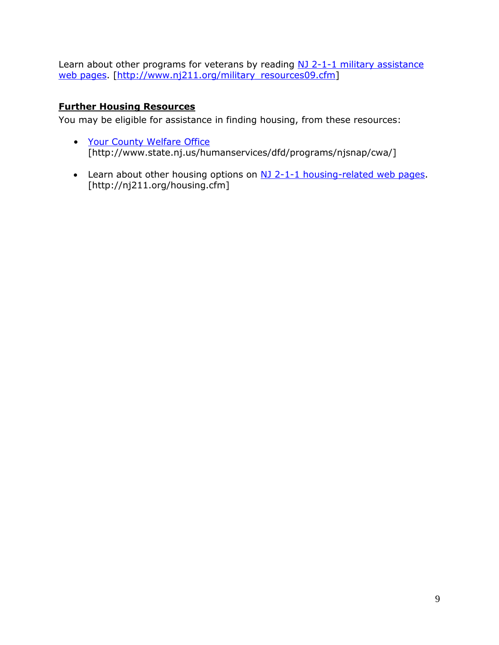Learn about other programs for veterans by reading [NJ 2-1-1 military assistance](http://www.nj211.org/military_resources09.cfm) [web pages.](http://www.nj211.org/military_resources09.cfm) [\[http://www.nj211.org/military\\_resources09.cfm\]](http://www.nj211.org/military_resources09.cfm)

# <span id="page-11-0"></span>**Further Housing Resources**

You may be eligible for assistance in finding housing, from these resources:

- [Your County Welfare Office](http://www.state.nj.us/humanservices/dfd/programs/njsnap/cwa/) [http://www.state.nj.us/humanservices/dfd/programs/njsnap/cwa/]
- Learn about other housing options on [NJ 2-1-1 housing-related web pages.](http://nj211.org/housing.cfm) [http://nj211.org/housing.cfm]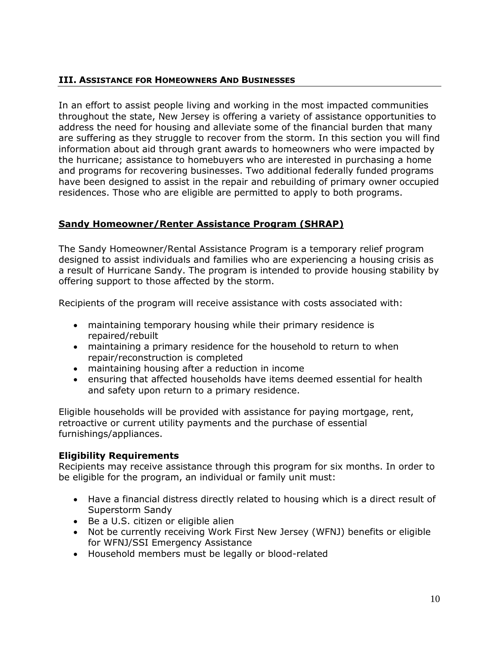### <span id="page-12-0"></span>**III. ASSISTANCE FOR HOMEOWNERS AND BUSINESSES**

In an effort to assist people living and working in the most impacted communities throughout the state, New Jersey is offering a variety of assistance opportunities to address the need for housing and alleviate some of the financial burden that many are suffering as they struggle to recover from the storm. In this section you will find information about aid through grant awards to homeowners who were impacted by the hurricane; assistance to homebuyers who are interested in purchasing a home and programs for recovering businesses. Two additional federally funded programs have been designed to assist in the repair and rebuilding of primary owner occupied residences. Those who are eligible are permitted to apply to both programs.

# <span id="page-12-1"></span>**Sandy Homeowner/Renter Assistance Program (SHRAP)**

The Sandy Homeowner/Rental Assistance Program is a temporary relief program designed to assist individuals and families who are experiencing a housing crisis as a result of Hurricane Sandy. The program is intended to provide housing stability by offering support to those affected by the storm.

Recipients of the program will receive assistance with costs associated with:

- maintaining temporary housing while their primary residence is repaired/rebuilt
- maintaining a primary residence for the household to return to when repair/reconstruction is completed
- maintaining housing after a reduction in income
- ensuring that affected households have items deemed essential for health and safety upon return to a primary residence.

Eligible households will be provided with assistance for paying mortgage, rent, retroactive or current utility payments and the purchase of essential furnishings/appliances.

### **Eligibility Requirements**

Recipients may receive assistance through this program for six months. In order to be eligible for the program, an individual or family unit must:

- Have a financial distress directly related to housing which is a direct result of Superstorm Sandy
- Be a U.S. citizen or eligible alien
- Not be currently receiving Work First New Jersey (WFNJ) benefits or eligible for WFNJ/SSI Emergency Assistance
- Household members must be legally or blood-related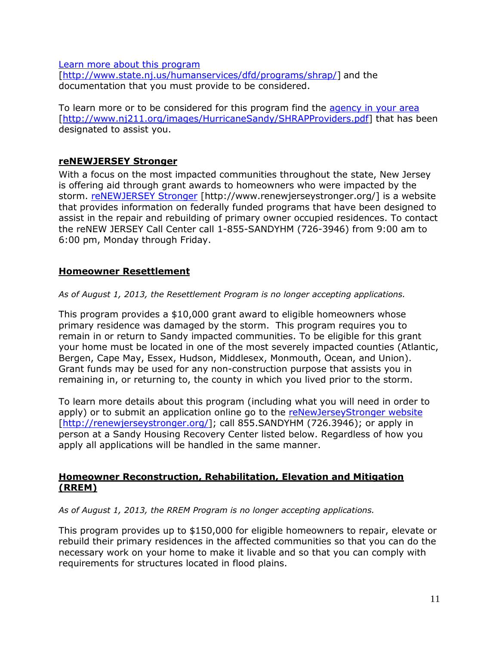[Learn more about this program](http://www.state.nj.us/humanservices/dfd/programs/shrap/)

[\[http://www.state.nj.us/humanservices/dfd/programs/shrap/\]](http://www.state.nj.us/humanservices/dfd/programs/shrap/) and the documentation that you must provide to be considered.

To learn more or to be considered for this program find the [agency in your area](http://www.nj211.org/images/HurricaneSandy/SHRAPProviders.pdf) [\[http://www.nj211.org/images/HurricaneSandy/SHRAPProviders.pdf\]](http://www.nj211.org/images/HurricaneSandy/SHRAPProviders.pdf) that has been designated to assist you.

### <span id="page-13-0"></span>**reNEWJERSEY Stronger**

With a focus on the most impacted communities throughout the state, New Jersey is offering aid through grant awards to homeowners who were impacted by the storm. [reNEWJERSEY Stronger](http://www.renewjerseystronger.org/) [http://www.renewjerseystronger.org/] is a website that provides information on federally funded programs that have been designed to assist in the repair and rebuilding of primary owner occupied residences. To contact the reNEW JERSEY Call Center call 1-855-SANDYHM (726-3946) from 9:00 am to 6:00 pm, Monday through Friday.

### <span id="page-13-1"></span>**Homeowner Resettlement**

*As of August 1, 2013, the Resettlement Program is no longer accepting applications.* 

This program provides a \$10,000 grant award to eligible homeowners whose primary residence was damaged by the storm. This program requires you to remain in or return to Sandy impacted communities. To be eligible for this grant your home must be located in one of the most severely impacted counties (Atlantic, Bergen, Cape May, Essex, Hudson, Middlesex, Monmouth, Ocean, and Union). Grant funds may be used for any non-construction purpose that assists you in remaining in, or returning to, the county in which you lived prior to the storm.

To learn more details about this program (including what you will need in order to apply) or to submit an application online go to the [reNewJerseyStronger website](http://renewjerseystronger.org/) [\[http://renewjerseystronger.org/\]](http://renewjerseystronger.org/); call 855.SANDYHM (726.3946); or apply in person at a Sandy Housing Recovery Center listed below. Regardless of how you apply all applications will be handled in the same manner.

### <span id="page-13-2"></span>**Homeowner Reconstruction, Rehabilitation, Elevation and Mitigation (RREM)**

*As of August 1, 2013, the RREM Program is no longer accepting applications.* 

This program provides up to \$150,000 for eligible homeowners to repair, elevate or rebuild their primary residences in the affected communities so that you can do the necessary work on your home to make it livable and so that you can comply with requirements for structures located in flood plains.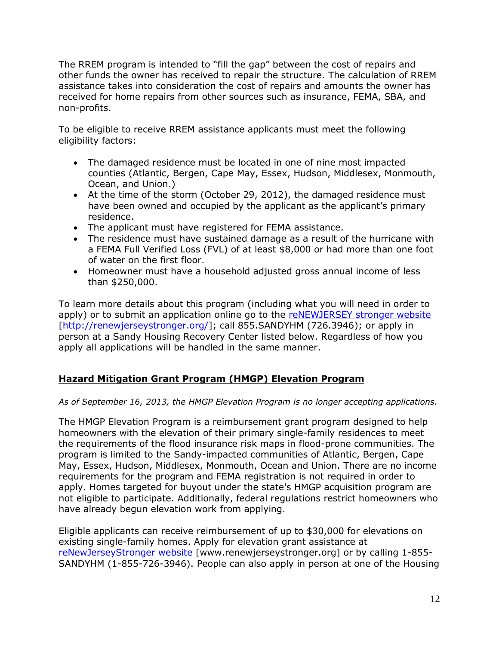The RREM program is intended to "fill the gap" between the cost of repairs and other funds the owner has received to repair the structure. The calculation of RREM assistance takes into consideration the cost of repairs and amounts the owner has received for home repairs from other sources such as insurance, FEMA, SBA, and non-profits.

To be eligible to receive RREM assistance applicants must meet the following eligibility factors:

- The damaged residence must be located in one of nine most impacted counties (Atlantic, Bergen, Cape May, Essex, Hudson, Middlesex, Monmouth, Ocean, and Union.)
- At the time of the storm (October 29, 2012), the damaged residence must have been owned and occupied by the applicant as the applicant's primary residence.
- The applicant must have registered for FEMA assistance.
- The residence must have sustained damage as a result of the hurricane with a FEMA Full Verified Loss (FVL) of at least \$8,000 or had more than one foot of water on the first floor.
- Homeowner must have a household adjusted gross annual income of less than \$250,000.

To learn more details about this program (including what you will need in order to apply) or to submit an application online go to the [reNEWJERSEY stronger website](http://renewjerseystronger.org/) [\[http://renewjerseystronger.org/\]](http://renewjerseystronger.org/); call 855.SANDYHM (726.3946); or apply in person at a Sandy Housing Recovery Center listed below. Regardless of how you apply all applications will be handled in the same manner.

# <span id="page-14-0"></span>**Hazard Mitigation Grant Program (HMGP) Elevation Program**

### *As of September 16, 2013, the HMGP Elevation Program is no longer accepting applications.*

The HMGP Elevation Program is a reimbursement grant program designed to help homeowners with the elevation of their primary single-family residences to meet the requirements of the flood insurance risk maps in flood-prone communities. The program is limited to the Sandy-impacted communities of Atlantic, Bergen, Cape May, Essex, Hudson, Middlesex, Monmouth, Ocean and Union. There are no income requirements for the program and FEMA registration is not required in order to apply. Homes targeted for buyout under the state's HMGP acquisition program are not eligible to participate. Additionally, federal regulations restrict homeowners who have already begun elevation work from applying.

Eligible applicants can receive reimbursement of up to \$30,000 for elevations on existing single-family homes. Apply for elevation grant assistance at [reNewJerseyStronger website](http://www.renewjerseystronger.org/) [www.renewjerseystronger.org] or by calling 1-855- SANDYHM (1-855-726-3946). People can also apply in person at one of the Housing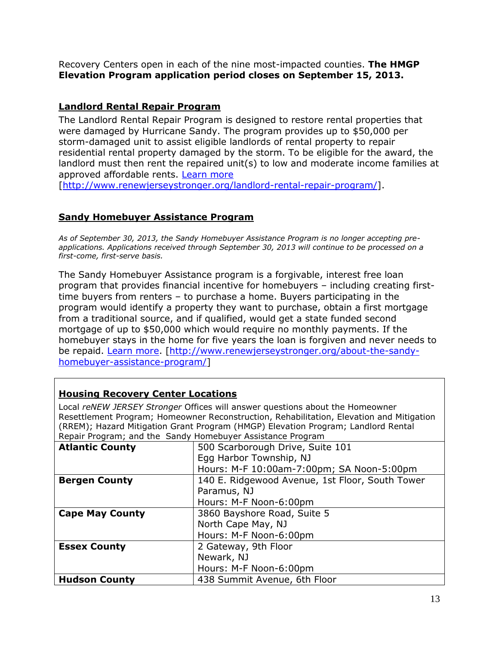Recovery Centers open in each of the nine most-impacted counties. **The HMGP Elevation Program application period closes on September 15, 2013.**

### <span id="page-15-0"></span>**Landlord Rental Repair Program**

The Landlord Rental Repair Program is designed to restore rental properties that were damaged by Hurricane Sandy. The program provides up to \$50,000 per storm-damaged unit to assist eligible landlords of rental property to repair residential rental property damaged by the storm. To be eligible for the award, the landlord must then rent the repaired unit(s) to low and moderate income families at approved affordable rents. [Learn more](http://www.renewjerseystronger.org/landlord-rental-repair-program/)

[\[http://www.renewjerseystronger.org/landlord-rental-repair-program/\]](http://www.renewjerseystronger.org/landlord-rental-repair-program/).

# <span id="page-15-1"></span>**Sandy Homebuyer Assistance Program**

*As of September 30, 2013, the Sandy Homebuyer Assistance Program is no longer accepting preapplications. Applications received through September 30, 2013 will continue to be processed on a first-come, first-serve basis.*

The Sandy Homebuyer Assistance program is a forgivable, interest free loan program that provides financial incentive for homebuyers – including creating firsttime buyers from renters – to purchase a home. Buyers participating in the program would identify a property they want to purchase, obtain a first mortgage from a traditional source, and if qualified, would get a state funded second mortgage of up to \$50,000 which would require no monthly payments. If the homebuyer stays in the home for five years the loan is forgiven and never needs to be repaid. [Learn more.](http://www.renewjerseystronger.org/about-the-sandy-homebuyer-assistance-program/) [\[http://www.renewjerseystronger.org/about-the-sandy](http://www.renewjerseystronger.org/about-the-sandy-homebuyer-assistance-program/)[homebuyer-assistance-program/\]](http://www.renewjerseystronger.org/about-the-sandy-homebuyer-assistance-program/)

### <span id="page-15-2"></span>**Housing Recovery Center Locations**

Local *reNEW JERSEY Stronger* Offices will answer questions about the Homeowner Resettlement Program; Homeowner Reconstruction, Rehabilitation, Elevation and Mitigation (RREM); Hazard Mitigation Grant Program (HMGP) Elevation Program; Landlord Rental Repair Program; and the Sandy Homebuyer Assistance Program

| Repair Frogram, and the Danay Homebayer Assistance Frogram |                                                 |  |
|------------------------------------------------------------|-------------------------------------------------|--|
| <b>Atlantic County</b>                                     | 500 Scarborough Drive, Suite 101                |  |
|                                                            | Egg Harbor Township, NJ                         |  |
|                                                            | Hours: M-F 10:00am-7:00pm; SA Noon-5:00pm       |  |
| <b>Bergen County</b>                                       | 140 E. Ridgewood Avenue, 1st Floor, South Tower |  |
|                                                            | Paramus, NJ                                     |  |
|                                                            | Hours: M-F Noon-6:00pm                          |  |
| <b>Cape May County</b>                                     | 3860 Bayshore Road, Suite 5                     |  |
|                                                            | North Cape May, NJ                              |  |
|                                                            | Hours: M-F Noon-6:00pm                          |  |
| <b>Essex County</b>                                        | 2 Gateway, 9th Floor                            |  |
|                                                            | Newark, NJ                                      |  |
|                                                            | Hours: M-F Noon-6:00pm                          |  |
| <b>Hudson County</b>                                       | 438 Summit Avenue, 6th Floor                    |  |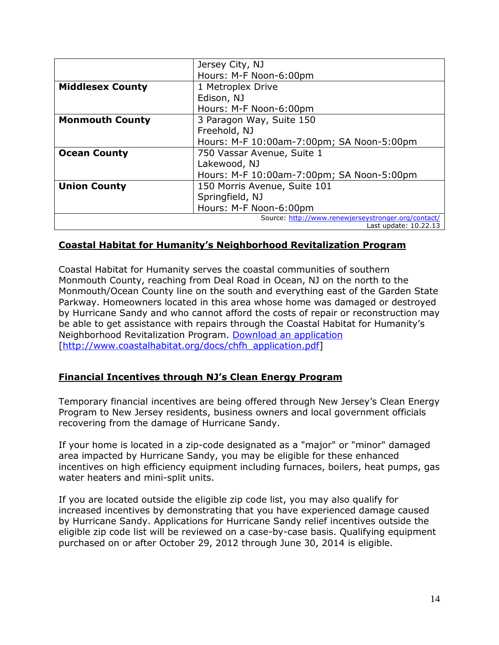|                         | Jersey City, NJ                                     |
|-------------------------|-----------------------------------------------------|
|                         | Hours: M-F Noon-6:00pm                              |
| <b>Middlesex County</b> | 1 Metroplex Drive                                   |
|                         | Edison, NJ                                          |
|                         | Hours: M-F Noon-6:00pm                              |
| <b>Monmouth County</b>  | 3 Paragon Way, Suite 150                            |
|                         | Freehold, NJ                                        |
|                         | Hours: M-F 10:00am-7:00pm; SA Noon-5:00pm           |
| <b>Ocean County</b>     | 750 Vassar Avenue, Suite 1                          |
|                         | Lakewood, NJ                                        |
|                         | Hours: M-F 10:00am-7:00pm; SA Noon-5:00pm           |
| <b>Union County</b>     | 150 Morris Avenue, Suite 101                        |
|                         | Springfield, NJ                                     |
|                         | Hours: M-F Noon-6:00pm                              |
|                         | Source: http://www.renewjerseystronger.org/contact/ |
|                         | Last update: 10.22.13                               |

### <span id="page-16-0"></span>**Coastal Habitat for Humanity's Neighborhood Revitalization Program**

Coastal Habitat for Humanity serves the coastal communities of southern Monmouth County, reaching from Deal Road in Ocean, NJ on the north to the Monmouth/Ocean County line on the south and everything east of the Garden State Parkway. Homeowners located in this area whose home was damaged or destroyed by Hurricane Sandy and who cannot afford the costs of repair or reconstruction may be able to get assistance with repairs through the Coastal Habitat for Humanity's Neighborhood Revitalization Program. [Download an application](http://www.coastalhabitat.org/docs/chfh_application.pdf) [\[http://www.coastalhabitat.org/docs/chfh\\_application.pdf\]](http://www.coastalhabitat.org/docs/chfh_application.pdf)

#### <span id="page-16-1"></span>**Financial Incentives through NJ's Clean Energy Program**

Temporary financial incentives are being offered through New Jersey's Clean Energy Program to New Jersey residents, business owners and local government officials recovering from the damage of Hurricane Sandy.

If your home is located in a zip-code designated as a "major" or "minor" damaged area impacted by Hurricane Sandy, you may be eligible for these enhanced incentives on high efficiency equipment including furnaces, boilers, heat pumps, gas water heaters and mini-split units.

If you are located outside the eligible zip code list, you may also qualify for increased incentives by demonstrating that you have experienced damage caused by Hurricane Sandy. Applications for Hurricane Sandy relief incentives outside the eligible zip code list will be reviewed on a case-by-case basis. Qualifying equipment purchased on or after October 29, 2012 through June 30, 2014 is eligible.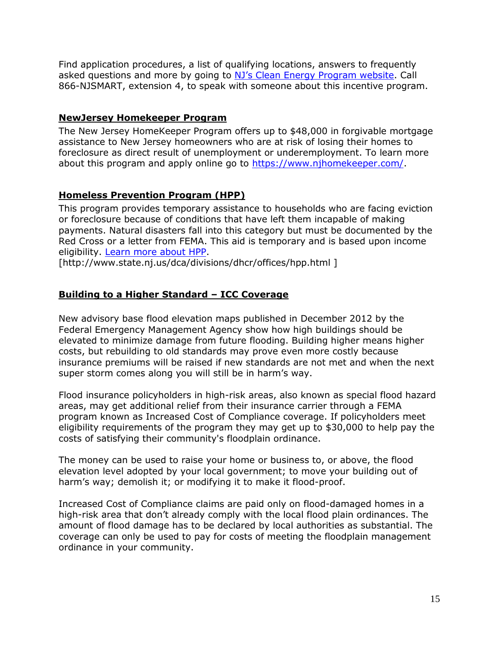Find application procedures, a list of qualifying locations, answers to frequently asked questions and more by going to [NJ's Clean Energy Program website](http://www.njcleanenergy.com/SANDY). Call 866-NJSMART, extension 4, to speak with someone about this incentive program.

### <span id="page-17-0"></span>**NewJersey Homekeeper Program**

The New Jersey HomeKeeper Program offers up to \$48,000 in forgivable mortgage assistance to New Jersey homeowners who are at risk of losing their homes to foreclosure as direct result of unemployment or underemployment. To learn more about this program and apply online go to [https://www.njhomekeeper.com/.](https://www.njhomekeeper.com/)

# <span id="page-17-1"></span>**Homeless Prevention Program (HPP)**

This program provides temporary assistance to households who are facing eviction or foreclosure because of conditions that have left them incapable of making payments. Natural disasters fall into this category but must be documented by the Red Cross or a letter from FEMA. This aid is temporary and is based upon income eligibility. [Learn more about HPP.](http://www.state.nj.us/dca/divisions/dhcr/offices/hpp.html)

[http://www.state.nj.us/dca/divisions/dhcr/offices/hpp.html ]

# <span id="page-17-2"></span>**Building to a Higher Standard – ICC Coverage**

New advisory base flood elevation maps published in December 2012 by the Federal Emergency Management Agency show how high buildings should be elevated to minimize damage from future flooding. Building higher means higher costs, but rebuilding to old standards may prove even more costly because insurance premiums will be raised if new standards are not met and when the next super storm comes along you will still be in harm's way.

Flood insurance policyholders in high-risk areas, also known as special flood hazard areas, may get additional relief from their insurance carrier through a FEMA program known as Increased Cost of Compliance coverage. If policyholders meet eligibility requirements of the program they may get up to \$30,000 to help pay the costs of satisfying their community's floodplain ordinance.

The money can be used to raise your home or business to, or above, the flood elevation level adopted by your local government; to move your building out of harm's way; demolish it; or modifying it to make it flood-proof.

Increased Cost of Compliance claims are paid only on flood-damaged homes in a high-risk area that don't already comply with the local flood plain ordinances. The amount of flood damage has to be declared by local authorities as substantial. The coverage can only be used to pay for costs of meeting the floodplain management ordinance in your community.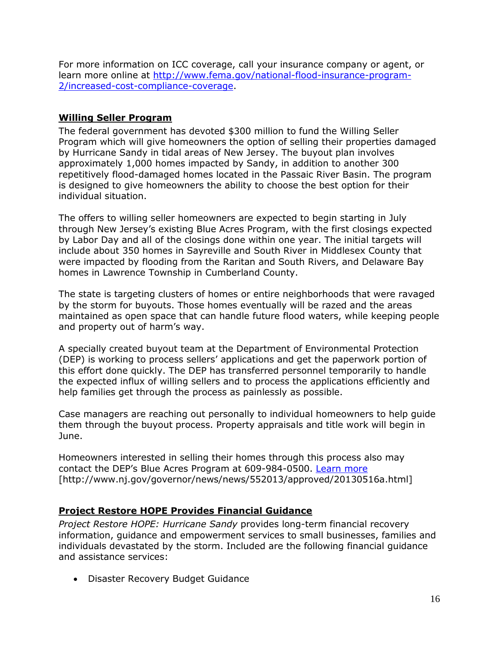For more information on ICC coverage, call your insurance company or agent, or learn more online at [http://www.fema.gov/national-flood-insurance-program-](http://www.fema.gov/national-flood-insurance-program-2/increased-cost-compliance-coverage)[2/increased-cost-compliance-coverage.](http://www.fema.gov/national-flood-insurance-program-2/increased-cost-compliance-coverage)

# <span id="page-18-0"></span>**Willing Seller Program**

The federal government has devoted \$300 million to fund the Willing Seller Program which will give homeowners the option of selling their properties damaged by Hurricane Sandy in tidal areas of New Jersey. The buyout plan involves approximately 1,000 homes impacted by Sandy, in addition to another 300 repetitively flood-damaged homes located in the Passaic River Basin. The program is designed to give homeowners the ability to choose the best option for their individual situation.

The offers to willing seller homeowners are expected to begin starting in July through New Jersey's existing Blue Acres Program, with the first closings expected by Labor Day and all of the closings done within one year. The initial targets will include about 350 homes in Sayreville and South River in Middlesex County that were impacted by flooding from the Raritan and South Rivers, and Delaware Bay homes in Lawrence Township in Cumberland County.

The state is targeting clusters of homes or entire neighborhoods that were ravaged by the storm for buyouts. Those homes eventually will be razed and the areas maintained as open space that can handle future flood waters, while keeping people and property out of harm's way.

A specially created buyout team at the Department of Environmental Protection (DEP) is working to process sellers' applications and get the paperwork portion of this effort done quickly. The DEP has transferred personnel temporarily to handle the expected influx of willing sellers and to process the applications efficiently and help families get through the process as painlessly as possible.

Case managers are reaching out personally to individual homeowners to help guide them through the buyout process. Property appraisals and title work will begin in June.

Homeowners interested in selling their homes through this process also may contact the DEP's Blue Acres Program at 609-984-0500. [Learn more](http://www.nj.gov/governor/news/news/552013/approved/20130516a.html) [http://www.nj.gov/governor/news/news/552013/approved/20130516a.html]

# <span id="page-18-1"></span>**Project Restore HOPE Provides Financial Guidance**

*Project Restore HOPE: Hurricane Sandy* provides long-term financial recovery information, guidance and empowerment services to small businesses, families and individuals devastated by the storm. Included are the following financial guidance and assistance services:

Disaster Recovery Budget Guidance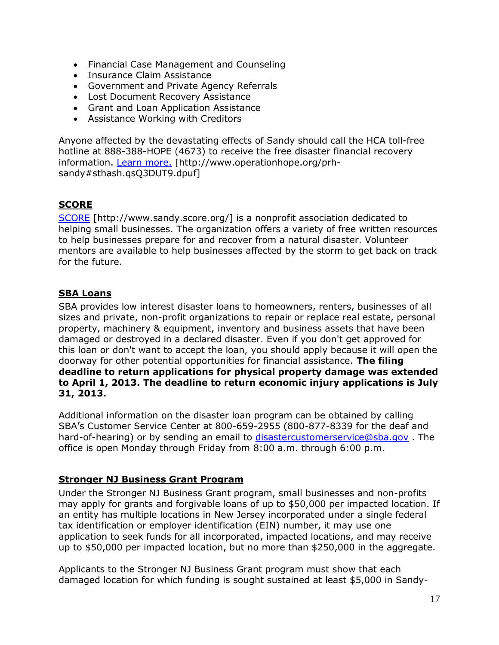- Financial Case Management and Counseling
- Insurance Claim Assistance
- Government and Private Agency Referrals
- Lost Document Recovery Assistance
- Grant and Loan Application Assistance
- Assistance Working with Creditors

Anyone affected by the devastating effects of Sandy should call the HCA toll-free hotline at 888-388-HOPE (4673) to receive the free disaster financial recovery information. [Learn more.](http://www.operationhope.org/prh-sandy#sthash.qsQ3DUT9.dpuf) [http://www.operationhope.org/prhsandy#sthash.qsQ3DUT9.dpuf]

### <span id="page-19-0"></span>**SCORE**

[SCORE](http://www.sandy.score.org/) [http://www.sandy.score.org/] is a nonprofit association dedicated to helping small businesses. The organization offers a variety of free written resources to help businesses prepare for and recover from a natural disaster. Volunteer mentors are available to help businesses affected by the storm to get back on track for the future.

# <span id="page-19-1"></span>**SBA Loans**

SBA provides low interest disaster loans to homeowners, renters, businesses of all sizes and private, non-profit organizations to repair or replace real estate, personal property, machinery & equipment, inventory and business assets that have been damaged or destroyed in a declared disaster. Even if you don't get approved for this loan or don't want to accept the loan, you should apply because it will open the doorway for other potential opportunities for financial assistance. **The filing deadline to return applications for physical property damage was extended to April 1, 2013. The deadline to return economic injury applications is July 31, 2013.**

Additional information on the disaster loan program can be obtained by calling SBA's Customer Service Center at 800-659-2955 (800-877-8339 for the deaf and hard-of-hearing) or by sending an email to [disastercustomerservice@sba.gov](mailto:disastercustomerservice@sba.gov) . The office is open Monday through Friday from 8:00 a.m. through 6:00 p.m.

### <span id="page-19-2"></span>**Stronger NJ Business Grant Program**

Under the Stronger NJ Business Grant program, small businesses and non-profits may apply for grants and forgivable loans of up to \$50,000 per impacted location. If an entity has multiple locations in New Jersey incorporated under a single federal tax identification or employer identification (EIN) number, it may use one application to seek funds for all incorporated, impacted locations, and may receive up to \$50,000 per impacted location, but no more than \$250,000 in the aggregate.

Applicants to the Stronger NJ Business Grant program must show that each damaged location for which funding is sought sustained at least \$5,000 in Sandy-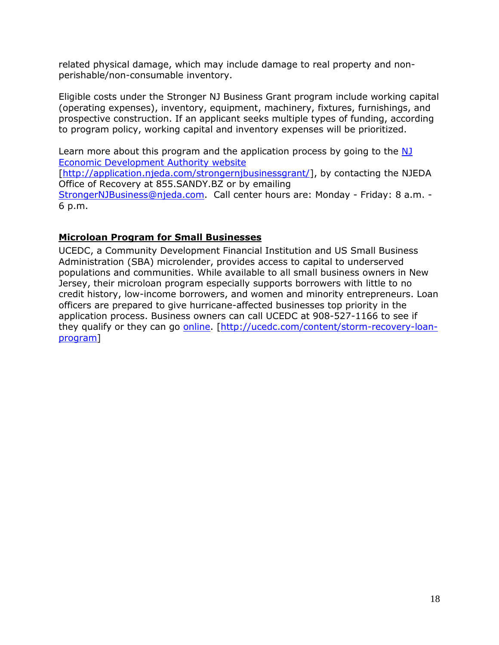related physical damage, which may include damage to real property and nonperishable/non-consumable inventory.

Eligible costs under the Stronger NJ Business Grant program include working capital (operating expenses), inventory, equipment, machinery, fixtures, furnishings, and prospective construction. If an applicant seeks multiple types of funding, according to program policy, working capital and inventory expenses will be prioritized.

Learn more about this program and the application process by going to the NJ [Economic Development Authority website](http://application.njeda.com/strongernjbusinessgrant/)

[\[http://application.njeda.com/strongernjbusinessgrant/\]](http://application.njeda.com/strongernjbusinessgrant/), by contacting the NJEDA Office of Recovery at 855.SANDY.BZ or by emailing

[StrongerNJBusiness@njeda.com.](mailto:StrongerNJBusiness@njeda.com) Call center hours are: Monday - Friday: 8 a.m. -6 p.m.

# <span id="page-20-0"></span>**Microloan Program for Small Businesses**

UCEDC, a Community Development Financial Institution and US Small Business Administration (SBA) microlender, provides access to capital to underserved populations and communities. While available to all small business owners in New Jersey, their microloan program especially supports borrowers with little to no credit history, low-income borrowers, and women and minority entrepreneurs. Loan officers are prepared to give hurricane-affected businesses top priority in the application process. Business owners can call UCEDC at 908-527-1166 to see if they qualify or they can go [online.](http://ucedc.com/content/storm-recovery-loan-program) [\[http://ucedc.com/content/storm-recovery-loan](http://ucedc.com/content/storm-recovery-loan-program)[program\]](http://ucedc.com/content/storm-recovery-loan-program)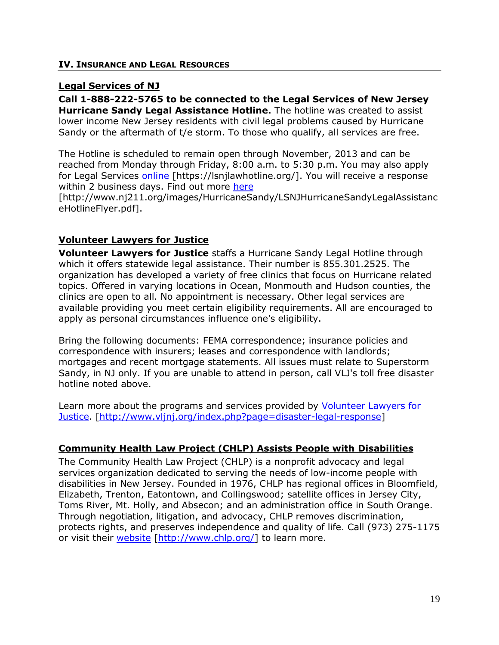#### <span id="page-21-0"></span>**IV. INSURANCE AND LEGAL RESOURCES**

### <span id="page-21-1"></span>**Legal Services of NJ**

**Call 1-888-222-5765 to be connected to the Legal Services of New Jersey Hurricane Sandy Legal Assistance Hotline.** The hotline was created to assist lower income New Jersey residents with civil legal problems caused by Hurricane Sandy or the aftermath of t/e storm. To those who qualify, all services are free.

The Hotline is scheduled to remain open through November, 2013 and can be reached from Monday through Friday, 8:00 a.m. to 5:30 p.m. You may also apply for Legal Services [online](https://lsnjlawhotline.org/) [https://lsnjlawhotline.org/]. You will receive a response within 2 business days. Find out more [here](http://www.nj211.org/images/HurricaneSandy/LSNJHurricaneSandyLegalAssistanceHotlineFlyer.pdf)

[http://www.nj211.org/images/HurricaneSandy/LSNJHurricaneSandyLegalAssistanc eHotlineFlyer.pdf].

### <span id="page-21-2"></span>**Volunteer Lawyers for Justice**

**Volunteer Lawyers for Justice** staffs a Hurricane Sandy Legal Hotline through which it offers statewide legal assistance. Their number is 855.301.2525. The organization has developed a variety of free clinics that focus on Hurricane related topics. Offered in varying locations in Ocean, Monmouth and Hudson counties, the clinics are open to all. No appointment is necessary. Other legal services are available providing you meet certain eligibility requirements. All are encouraged to apply as personal circumstances influence one's eligibility.

Bring the following documents: FEMA correspondence; insurance policies and correspondence with insurers; leases and correspondence with landlords; mortgages and recent mortgage statements. All issues must relate to Superstorm Sandy, in NJ only. If you are unable to attend in person, call VLJ's toll free disaster hotline noted above.

Learn more about the programs and services provided by [Volunteer Lawyers for](http://www.vljnj.org/index.php?page=disaster-legal-response)  [Justice.](http://www.vljnj.org/index.php?page=disaster-legal-response) [\[http://www.vljnj.org/index.php?page=disaster-legal-response\]](http://www.vljnj.org/index.php?page=disaster-legal-response)

### <span id="page-21-3"></span>**Community Health Law Project (CHLP) Assists People with Disabilities**

The Community Health Law Project (CHLP) is a nonprofit advocacy and legal services organization dedicated to serving the needs of low-income people with disabilities in New Jersey. Founded in 1976, CHLP has regional offices in Bloomfield, Elizabeth, Trenton, Eatontown, and Collingswood; satellite offices in Jersey City, Toms River, Mt. Holly, and Absecon; and an administration office in South Orange. Through negotiation, litigation, and advocacy, CHLP removes discrimination, protects rights, and preserves independence and quality of life. Call (973) 275-1175 or visit their [website](http://www.chlp.org/) [\[http://www.chlp.org/\]](http://www.chlp.org/) to learn more.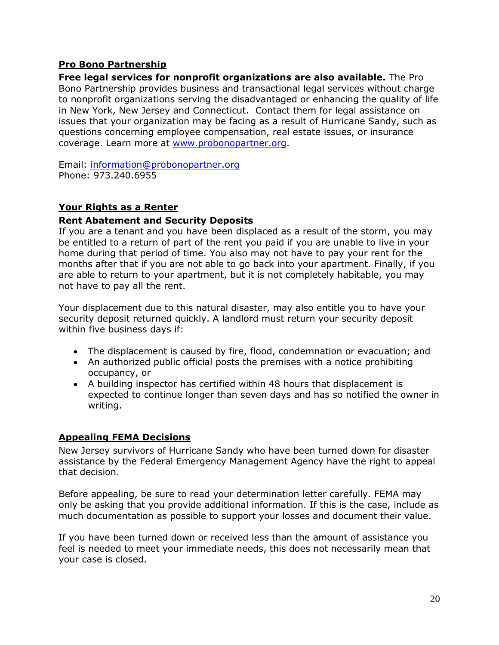### <span id="page-22-0"></span>**Pro Bono Partnership**

**Free legal services for nonprofit organizations are also available.** The Pro Bono Partnership provides business and transactional legal services without charge to nonprofit organizations serving the disadvantaged or enhancing the quality of life in New York, New Jersey and Connecticut. Contact them for legal assistance on issues that your organization may be facing as a result of Hurricane Sandy, such as questions concerning employee compensation, real estate issues, or insurance coverage. Learn more at [www.probonopartner.org.](http://www.probonopartner.org/)

Email: [information@probonopartner.org](mailto:information@probonopartner.org) Phone: 973.240.6955

# <span id="page-22-1"></span>**Your Rights as a Renter**

### **Rent Abatement and Security Deposits**

If you are a tenant and you have been displaced as a result of the storm, you may be entitled to a return of part of the rent you paid if you are unable to live in your home during that period of time. You also may not have to pay your rent for the months after that if you are not able to go back into your apartment. Finally, if you are able to return to your apartment, but it is not completely habitable, you may not have to pay all the rent.

Your displacement due to this natural disaster, may also entitle you to have your security deposit returned quickly. A landlord must return your security deposit within five business days if:

- The displacement is caused by fire, flood, condemnation or evacuation; and
- An authorized public official posts the premises with a notice prohibiting occupancy, or
- A building inspector has certified within 48 hours that displacement is expected to continue longer than seven days and has so notified the owner in writing.

### <span id="page-22-2"></span>**Appealing FEMA Decisions**

New Jersey survivors of Hurricane Sandy who have been turned down for disaster assistance by the Federal Emergency Management Agency have the right to appeal that decision.

Before appealing, be sure to read your determination letter carefully. FEMA may only be asking that you provide additional information. If this is the case, include as much documentation as possible to support your losses and document their value.

If you have been turned down or received less than the amount of assistance you feel is needed to meet your immediate needs, this does not necessarily mean that your case is closed.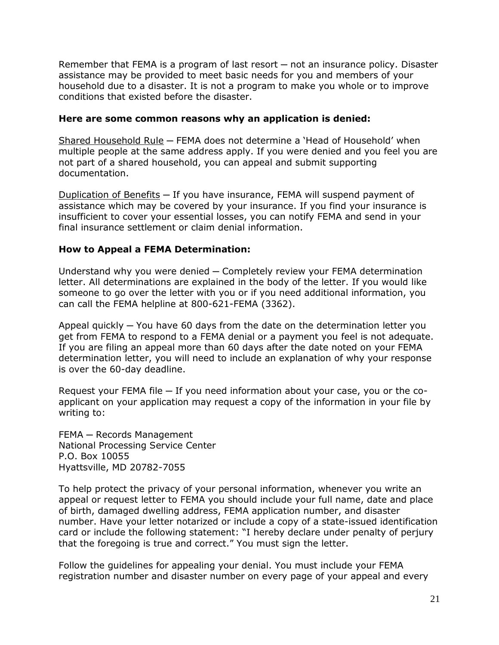Remember that FEMA is a program of last resort — not an insurance policy. Disaster assistance may be provided to meet basic needs for you and members of your household due to a disaster. It is not a program to make you whole or to improve conditions that existed before the disaster.

### **Here are some common reasons why an application is denied:**

Shared Household Rule ─ FEMA does not determine a 'Head of Household' when multiple people at the same address apply. If you were denied and you feel you are not part of a shared household, you can appeal and submit supporting documentation.

Duplication of Benefits — If you have insurance, FEMA will suspend payment of assistance which may be covered by your insurance. If you find your insurance is insufficient to cover your essential losses, you can notify FEMA and send in your final insurance settlement or claim denial information.

### **How to Appeal a FEMA Determination:**

Understand why you were denied ─ Completely review your FEMA determination letter. All determinations are explained in the body of the letter. If you would like someone to go over the letter with you or if you need additional information, you can call the FEMA helpline at 800-621-FEMA (3362).

Appeal quickly ─ You have 60 days from the date on the determination letter you get from FEMA to respond to a FEMA denial or a payment you feel is not adequate. If you are filing an appeal more than 60 days after the date noted on your FEMA determination letter, you will need to include an explanation of why your response is over the 60-day deadline.

Request your FEMA file — If you need information about your case, you or the coapplicant on your application may request a copy of the information in your file by writing to:

FEMA - Records Management National Processing Service Center P.O. Box 10055 Hyattsville, MD 20782-7055

To help protect the privacy of your personal information, whenever you write an appeal or request letter to FEMA you should include your full name, date and place of birth, damaged dwelling address, FEMA application number, and disaster number. Have your letter notarized or include a copy of a state-issued identification card or include the following statement: "I hereby declare under penalty of perjury that the foregoing is true and correct." You must sign the letter.

Follow the guidelines for appealing your denial. You must include your FEMA registration number and disaster number on every page of your appeal and every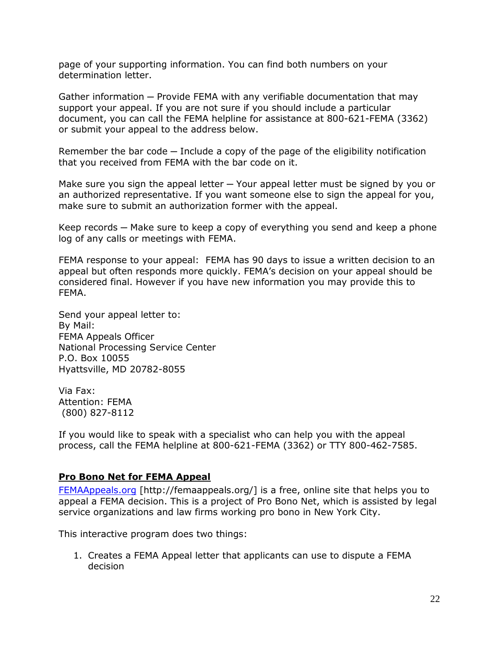page of your supporting information. You can find both numbers on your determination letter.

Gather information — Provide FEMA with any verifiable documentation that may support your appeal. If you are not sure if you should include a particular document, you can call the FEMA helpline for assistance at 800-621-FEMA (3362) or submit your appeal to the address below.

Remember the bar code – Include a copy of the page of the eligibility notification that you received from FEMA with the bar code on it.

Make sure you sign the appeal letter  $-$  Your appeal letter must be signed by you or an authorized representative. If you want someone else to sign the appeal for you, make sure to submit an authorization former with the appeal.

Keep records — Make sure to keep a copy of everything you send and keep a phone log of any calls or meetings with FEMA.

FEMA response to your appeal: FEMA has 90 days to issue a written decision to an appeal but often responds more quickly. FEMA's decision on your appeal should be considered final. However if you have new information you may provide this to FEMA.

Send your appeal letter to: By Mail: FEMA Appeals Officer National Processing Service Center P.O. Box 10055 Hyattsville, MD 20782-8055

Via Fax: Attention: FEMA (800) 827-8112

If you would like to speak with a specialist who can help you with the appeal process, call the FEMA helpline at 800-621-FEMA (3362) or TTY 800-462-7585.

### <span id="page-24-0"></span>**Pro Bono Net for FEMA Appeal**

[FEMAAppeals.org](http://femaappeals.org/) [http://femaappeals.org/] is a free, online site that helps you to appeal a FEMA decision. This is a project of Pro Bono Net, which is assisted by legal service organizations and law firms working pro bono in New York City.

This interactive program does two things:

1. Creates a FEMA Appeal letter that applicants can use to dispute a FEMA decision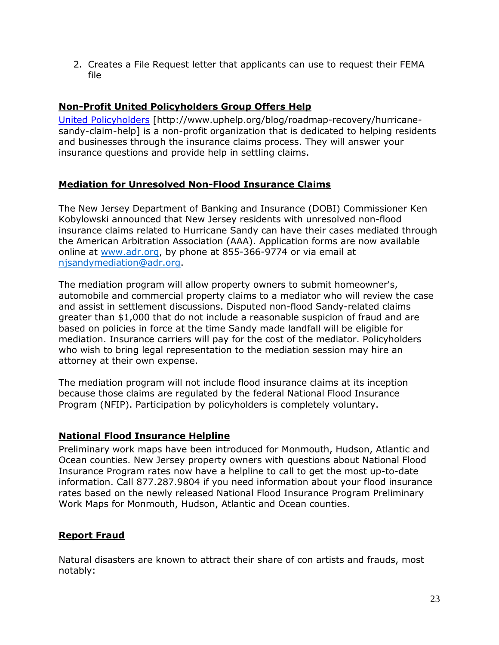2. Creates a File Request letter that applicants can use to request their FEMA file

### <span id="page-25-0"></span>**Non-Profit United Policyholders Group Offers Help**

[United Policyholders](http://www.uphelp.org/blog/roadmap-recovery/hurricane-sandy-claim-help) [http://www.uphelp.org/blog/roadmap-recovery/hurricanesandy-claim-help] is a non-profit organization that is dedicated to helping residents and businesses through the insurance claims process. They will answer your insurance questions and provide help in settling claims.

# <span id="page-25-1"></span>**Mediation for Unresolved Non-Flood Insurance Claims**

The New Jersey Department of Banking and Insurance (DOBI) Commissioner Ken Kobylowski announced that New Jersey residents with unresolved non-flood insurance claims related to Hurricane Sandy can have their cases mediated through the American Arbitration Association (AAA). Application forms are now available online at [www.adr.org,](http://www.adr.org/) by phone at 855-366-9774 or via email at [njsandymediation@adr.org.](mailto:njsandymediation@adr.org)

The mediation program will allow property owners to submit homeowner's, automobile and commercial property claims to a mediator who will review the case and assist in settlement discussions. Disputed non-flood Sandy-related claims greater than \$1,000 that do not include a reasonable suspicion of fraud and are based on policies in force at the time Sandy made landfall will be eligible for mediation. Insurance carriers will pay for the cost of the mediator. Policyholders who wish to bring legal representation to the mediation session may hire an attorney at their own expense.

The mediation program will not include flood insurance claims at its inception because those claims are regulated by the federal National Flood Insurance Program (NFIP). Participation by policyholders is completely voluntary.

### <span id="page-25-2"></span>**National Flood Insurance Helpline**

Preliminary work maps have been introduced for Monmouth, Hudson, Atlantic and Ocean counties. New Jersey property owners with questions about National Flood Insurance Program rates now have a helpline to call to get the most up-to-date information. Call 877.287.9804 if you need information about your flood insurance rates based on the newly released National Flood Insurance Program Preliminary Work Maps for Monmouth, Hudson, Atlantic and Ocean counties.

# <span id="page-25-3"></span>**Report Fraud**

Natural disasters are known to attract their share of con artists and frauds, most notably: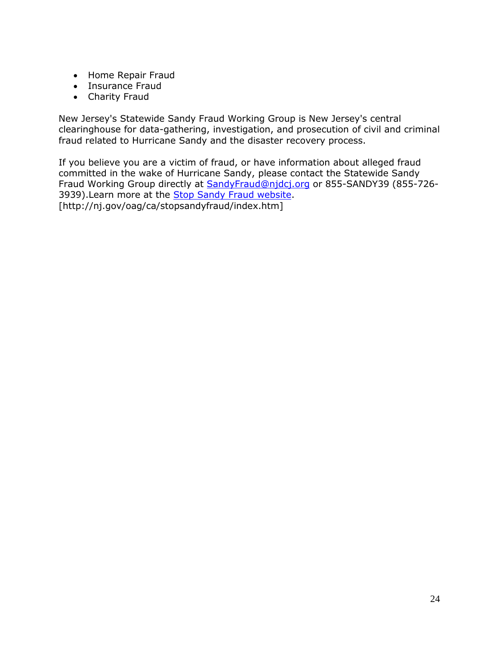- Home Repair Fraud
- Insurance Fraud
- Charity Fraud

New Jersey's Statewide Sandy Fraud Working Group is New Jersey's central clearinghouse for data-gathering, investigation, and prosecution of civil and criminal fraud related to Hurricane Sandy and the disaster recovery process.

If you believe you are a victim of fraud, or have information about alleged fraud committed in the wake of Hurricane Sandy, please contact the Statewide Sandy Fraud Working Group directly at [SandyFraud@njdcj.org](mailto:SandyFraud@njdcj.org) or 855-SANDY39 (855-726- 3939). Learn more at the [Stop Sandy Fraud website.](http://nj.gov/oag/ca/stopsandyfraud/index.htm) [http://nj.gov/oag/ca/stopsandyfraud/index.htm]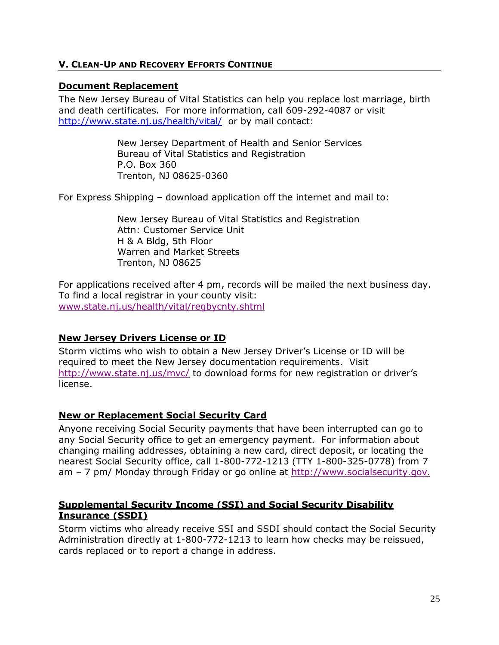### <span id="page-27-0"></span>**V. CLEAN-UP AND RECOVERY EFFORTS CONTINUE**

### <span id="page-27-1"></span>**Document Replacement**

The New Jersey Bureau of Vital Statistics can help you replace lost marriage, birth and death certificates. For more information, call 609-292-4087 or visit <http://www.state.nj.us/health/vital/> or by mail contact:

> New Jersey Department of Health and Senior Services Bureau of Vital Statistics and Registration P.O. Box 360 Trenton, NJ 08625-0360

For Express Shipping – download application off the internet and mail to:

New Jersey Bureau of Vital Statistics and Registration Attn: Customer Service Unit H & A Bldg, 5th Floor Warren and Market Streets Trenton, NJ 08625

For applications received after 4 pm, records will be mailed the next business day. To find a local registrar in your county visit: [www.state.nj.us/health/vital/regbycnty.shtml](http://www.state.nj.us/health/vital/regbycnty.shtml)

### <span id="page-27-2"></span>**New Jersey Drivers License or ID**

Storm victims who wish to obtain a New Jersey Driver's License or ID will be required to meet the New Jersey documentation requirements. Visit <http://www.state.nj.us/mvc/> to download forms for new registration or driver's license.

### <span id="page-27-3"></span>**New or Replacement Social Security Card**

Anyone receiving Social Security payments that have been interrupted can go to any Social Security office to get an emergency payment. For information about changing mailing addresses, obtaining a new card, direct deposit, or locating the nearest Social Security office, call 1-800-772-1213 (TTY 1-800-325-0778) from 7 am – 7 pm/ Monday through Friday or go online at [http://www.socialsecurity.gov](http://www.socialsecurity.gov/).

### <span id="page-27-4"></span>**Supplemental Security Income (SSI) and Social Security Disability Insurance (SSDI)**

Storm victims who already receive SSI and SSDI should contact the Social Security Administration directly at 1-800-772-1213 to learn how checks may be reissued, cards replaced or to report a change in address.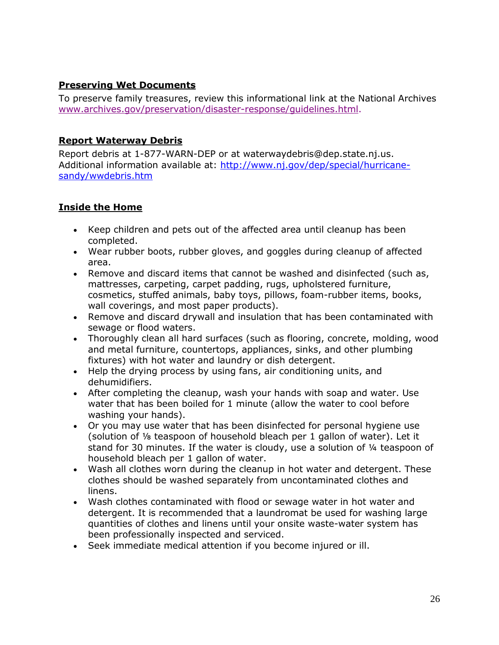# <span id="page-28-0"></span>**Preserving Wet Documents**

To preserve family treasures, review this informational link at the National Archives [www.archives.gov/preservation/disaster-response/guidelines.html.](http://www.archives.gov/preservation/disaster-response/guidelines.html)

# <span id="page-28-1"></span>**Report Waterway Debris**

Report debris at 1-877-WARN-DEP or at waterwaydebris@dep.state.nj.us. Additional information available at: [http://www.nj.gov/dep/special/hurricane](http://www.nj.gov/dep/special/hurricane-sandy/wwdebris.htm)[sandy/wwdebris.htm](http://www.nj.gov/dep/special/hurricane-sandy/wwdebris.htm)

# <span id="page-28-2"></span>**Inside the Home**

- Keep children and pets out of the affected area until cleanup has been completed.
- Wear rubber boots, rubber gloves, and goggles during cleanup of affected area.
- Remove and discard items that cannot be washed and disinfected (such as, mattresses, carpeting, carpet padding, rugs, upholstered furniture, cosmetics, stuffed animals, baby toys, pillows, foam-rubber items, books, wall coverings, and most paper products).
- Remove and discard drywall and insulation that has been contaminated with sewage or flood waters.
- Thoroughly clean all hard surfaces (such as flooring, concrete, molding, wood and metal furniture, countertops, appliances, sinks, and other plumbing fixtures) with hot water and laundry or dish detergent.
- Help the drying process by using fans, air conditioning units, and dehumidifiers.
- After completing the cleanup, wash your hands with soap and water. Use water that has been boiled for 1 minute (allow the water to cool before washing your hands).
- Or you may use water that has been disinfected for personal hygiene use (solution of ⅛ teaspoon of household bleach per 1 gallon of water). Let it stand for 30 minutes. If the water is cloudy, use a solution of ¼ teaspoon of household bleach per 1 gallon of water.
- Wash all clothes worn during the cleanup in hot water and detergent. These clothes should be washed separately from uncontaminated clothes and linens.
- Wash clothes contaminated with flood or sewage water in hot water and detergent. It is recommended that a laundromat be used for washing large quantities of clothes and linens until your onsite waste-water system has been professionally inspected and serviced.
- Seek immediate medical attention if you become injured or ill.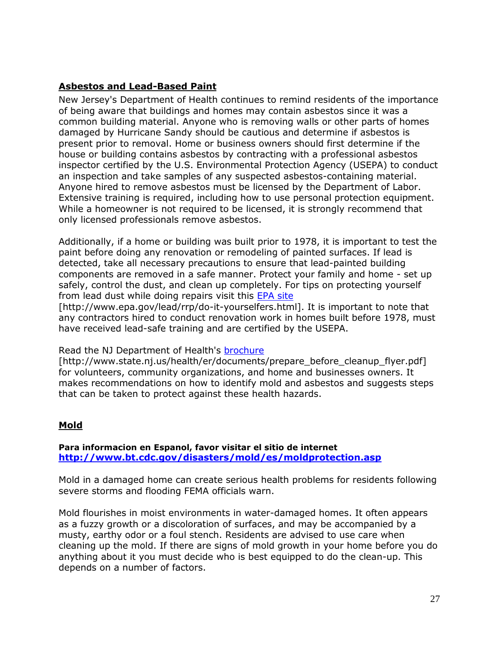# <span id="page-29-0"></span>**Asbestos and Lead-Based Paint**

New Jersey's Department of Health continues to remind residents of the importance of being aware that buildings and homes may contain asbestos since it was a common building material. Anyone who is removing walls or other parts of homes damaged by Hurricane Sandy should be cautious and determine if asbestos is present prior to removal. Home or business owners should first determine if the house or building contains asbestos by contracting with a professional asbestos inspector certified by the U.S. Environmental Protection Agency (USEPA) to conduct an inspection and take samples of any suspected asbestos-containing material. Anyone hired to remove asbestos must be licensed by the Department of Labor. Extensive training is required, including how to use personal protection equipment. While a homeowner is not required to be licensed, it is strongly recommend that only licensed professionals remove asbestos.

Additionally, if a home or building was built prior to 1978, it is important to test the paint before doing any renovation or remodeling of painted surfaces. If lead is detected, take all necessary precautions to ensure that lead-painted building components are removed in a safe manner. Protect your family and home - set up safely, control the dust, and clean up completely. For tips on protecting yourself from lead dust while doing repairs visit this [EPA site](http://www.epa.gov/lead/rrp/do-it-yourselfers.html)

[http://www.epa.gov/lead/rrp/do-it-yourselfers.html]. It is important to note that any contractors hired to conduct renovation work in homes built before 1978, must have received lead-safe training and are certified by the USEPA.

### Read the NJ Department of Health's [brochure](http://www.state.nj.us/health/er/documents/prepare_before_cleanup_flyer.pdf)

[http://www.state.nj.us/health/er/documents/prepare\_before\_cleanup\_flyer.pdf] for volunteers, community organizations, and home and businesses owners. It makes recommendations on how to identify mold and asbestos and suggests steps that can be taken to protect against these health hazards.

### <span id="page-29-1"></span>**Mold**

#### **Para informacion en Espanol, favor visitar el sitio de internet <http://www.bt.cdc.gov/disasters/mold/es/moldprotection.asp>**

Mold in a damaged home can create serious health problems for residents following severe storms and flooding FEMA officials warn.

Mold flourishes in moist environments in water-damaged homes. It often appears as a fuzzy growth or a discoloration of surfaces, and may be accompanied by a musty, earthy odor or a foul stench. Residents are advised to use care when cleaning up the mold. If there are signs of mold growth in your home before you do anything about it you must decide who is best equipped to do the clean-up. This depends on a number of factors.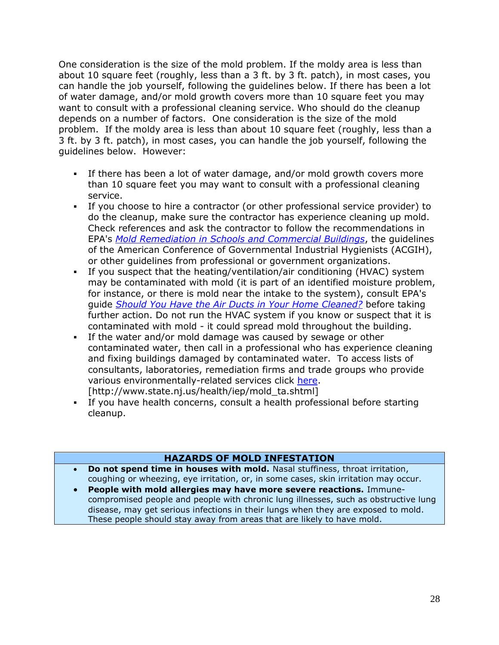One consideration is the size of the mold problem. If the moldy area is less than about 10 square feet (roughly, less than a 3 ft. by 3 ft. patch), in most cases, you can handle the job yourself, following the guidelines below. If there has been a lot of water damage, and/or mold growth covers more than 10 square feet you may want to consult with a professional cleaning service. Who should do the cleanup depends on a number of factors. One consideration is the size of the mold problem. If the moldy area is less than about 10 square feet (roughly, less than a 3 ft. by 3 ft. patch), in most cases, you can handle the job yourself, following the guidelines below. However:

- If there has been a lot of water damage, and/or mold growth covers more than 10 square feet you may want to consult with a professional cleaning service.
- If you choose to hire a contractor (or other professional service provider) to do the cleanup, make sure the contractor has experience cleaning up mold. Check references and ask the contractor to follow the recommendations in EPA's *[Mold Remediation in Schools and Commercial Buildings](http://www.epa.gov/mold/mold_remediation.html)*, the guidelines of the American Conference of Governmental Industrial Hygienists (ACGIH), or other guidelines from professional or government organizations.
- If you suspect that the heating/ventilation/air conditioning (HVAC) system may be contaminated with mold (it is part of an identified moisture problem, for instance, or there is mold near the intake to the system), consult EPA's guide *[Should You Have the Air Ducts in Your Home Cleaned?](http://www.epa.gov/iaq/pubs/airduct.html)* before taking further action. Do not run the HVAC system if you know or suspect that it is contaminated with mold - it could spread mold throughout the building.
- If the water and/or mold damage was caused by sewage or other contaminated water, then call in a professional who has experience cleaning and fixing buildings damaged by contaminated water. To access lists of consultants, laboratories, remediation firms and trade groups who provide various environmentally-related services click [here.](http://www.state.nj.us/health/iep/mold_ta.shtml) [http://www.state.nj.us/health/iep/mold\_ta.shtml]
- If you have health concerns, consult a health professional before starting cleanup.

# **HAZARDS OF MOLD INFESTATION**

- **Do not spend time in houses with mold.** Nasal stuffiness, throat irritation, coughing or wheezing, eye irritation, or, in some cases, skin irritation may occur.
- **People with mold allergies may have more severe reactions.** Immunecompromised people and people with chronic lung illnesses, such as obstructive lung disease, may get serious infections in their lungs when they are exposed to mold. These people should stay away from areas that are likely to have mold.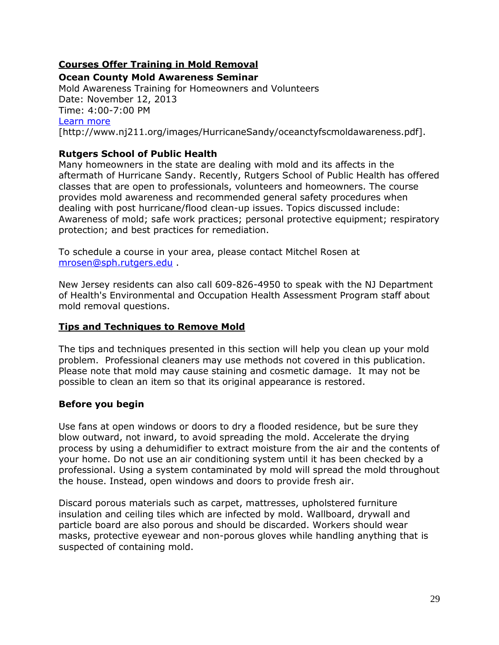# <span id="page-31-0"></span>**Courses Offer Training in Mold Removal**

#### **Ocean County Mold Awareness Seminar**

Mold Awareness Training for Homeowners and Volunteers Date: November 12, 2013 Time: 4:00-7:00 PM [Learn more](http://www.nj211.org/images/HurricaneSandy/oceanctyfscmoldawareness.pdf) [http://www.nj211.org/images/HurricaneSandy/oceanctyfscmoldawareness.pdf].

# **Rutgers School of Public Health**

Many homeowners in the state are dealing with mold and its affects in the aftermath of Hurricane Sandy. Recently, Rutgers School of Public Health has offered classes that are open to professionals, volunteers and homeowners. The course provides mold awareness and recommended general safety procedures when dealing with post hurricane/flood clean-up issues. Topics discussed include: Awareness of mold; safe work practices; personal protective equipment; respiratory protection; and best practices for remediation.

To schedule a course in your area, please contact Mitchel Rosen at [mrosen@sph.rutgers.edu](mailto:mrosen@sph.rutgers.edu) .

New Jersey residents can also call 609-826-4950 to speak with the NJ Department of Health's Environmental and Occupation Health Assessment Program staff about mold removal questions.

### <span id="page-31-1"></span>**Tips and Techniques to Remove Mold**

The tips and techniques presented in this section will help you clean up your mold problem. Professional cleaners may use methods not covered in this publication. Please note that mold may cause staining and cosmetic damage. It may not be possible to clean an item so that its original appearance is restored.

### **Before you begin**

Use fans at open windows or doors to dry a flooded residence, but be sure they blow outward, not inward, to avoid spreading the mold. Accelerate the drying process by using a dehumidifier to extract moisture from the air and the contents of your home. Do not use an air conditioning system until it has been checked by a professional. Using a system contaminated by mold will spread the mold throughout the house. Instead, open windows and doors to provide fresh air.

Discard porous materials such as carpet, mattresses, upholstered furniture insulation and ceiling tiles which are infected by mold. Wallboard, drywall and particle board are also porous and should be discarded. Workers should wear masks, protective eyewear and non-porous gloves while handling anything that is suspected of containing mold.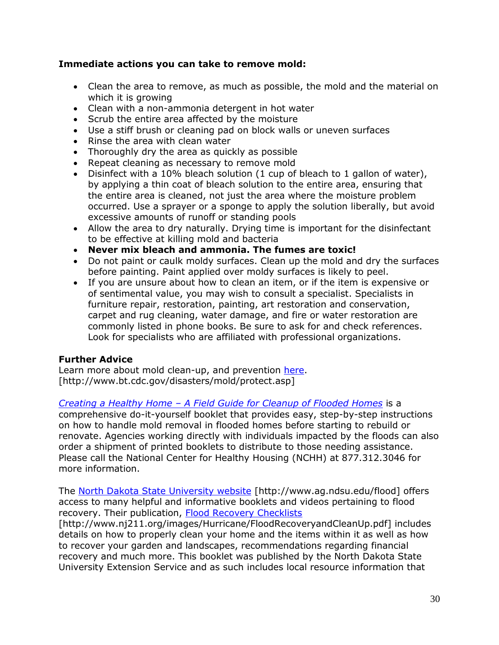# **Immediate actions you can take to remove mold:**

- Clean the area to remove, as much as possible, the mold and the material on which it is growing
- Clean with a non-ammonia detergent in hot water
- Scrub the entire area affected by the moisture
- Use a stiff brush or cleaning pad on block walls or uneven surfaces
- Rinse the area with clean water
- Thoroughly dry the area as quickly as possible
- Repeat cleaning as necessary to remove mold
- Disinfect with a 10% bleach solution (1 cup of bleach to 1 gallon of water), by applying a thin coat of bleach solution to the entire area, ensuring that the entire area is cleaned, not just the area where the moisture problem occurred. Use a sprayer or a sponge to apply the solution liberally, but avoid excessive amounts of runoff or standing pools
- Allow the area to dry naturally. Drying time is important for the disinfectant to be effective at killing mold and bacteria
- **Never mix bleach and ammonia. The fumes are toxic!**
- Do not paint or caulk moldy surfaces. Clean up the mold and dry the surfaces before painting. Paint applied over moldy surfaces is likely to peel.
- If you are unsure about how to clean an item, or if the item is expensive or of sentimental value, you may wish to consult a specialist. Specialists in furniture repair, restoration, painting, art restoration and conservation, carpet and rug cleaning, water damage, and fire or water restoration are commonly listed in phone books. Be sure to ask for and check references. Look for specialists who are affiliated with professional organizations.

### **Further Advice**

Learn more about mold clean-up, and prevention [here.](http://www.bt.cdc.gov/disasters/mold/protect.asp) [http://www.bt.cdc.gov/disasters/mold/protect.asp]

*Creating a Healthy Home – [A Field Guide for Cleanup of Flooded Homes](http://nchh.org/LinkClick.aspx?fileticket=ANhnOoaHSfY%3d&tabid=311)* is a comprehensive do-it-yourself booklet that provides easy, step-by-step instructions on how to handle mold removal in flooded homes before starting to rebuild or renovate. Agencies working directly with individuals impacted by the floods can also order a shipment of printed booklets to distribute to those needing assistance. Please call the National Center for Healthy Housing (NCHH) at 877.312.3046 for more information.

The [North Dakota State University website](http://www.ag.ndsu.edu/flood) [http://www.ag.ndsu.edu/flood] offers access to many helpful and informative booklets and videos pertaining to flood recovery. Their publication, [Flood Recovery Checklists](http://www.nj211.org/images/Hurricane/FloodRecoveryandCleanUp.pdf)

[http://www.nj211.org/images/Hurricane/FloodRecoveryandCleanUp.pdf] includes details on how to properly clean your home and the items within it as well as how to recover your garden and landscapes, recommendations regarding financial recovery and much more. This booklet was published by the North Dakota State University Extension Service and as such includes local resource information that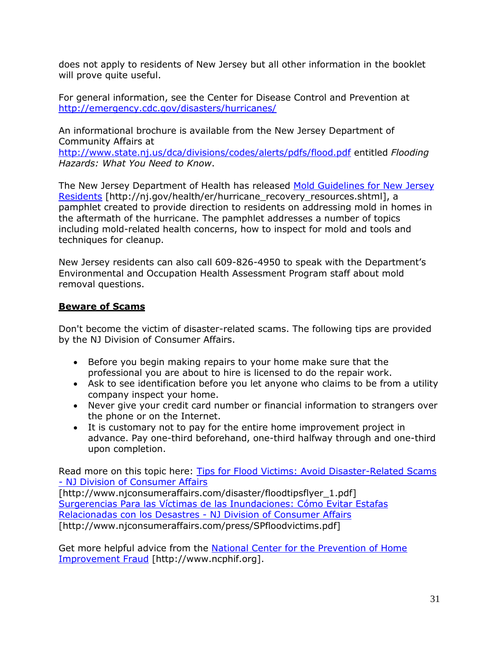does not apply to residents of New Jersey but all other information in the booklet will prove quite useful.

For general information, see the Center for Disease Control and Prevention at <http://emergency.cdc.gov/disasters/hurricanes/>

An informational brochure is available from the New Jersey Department of Community Affairs at

<http://www.state.nj.us/dca/divisions/codes/alerts/pdfs/flood.pdf> entitled *Flooding Hazards: What You Need to Know*.

The New Jersey Department of Health has released [Mold Guidelines for New Jersey](http://nj.gov/health/er/hurricane_recovery_resources.shtml)  [Residents](http://nj.gov/health/er/hurricane_recovery_resources.shtml) [http://nj.gov/health/er/hurricane\_recovery\_resources.shtml], a pamphlet created to provide direction to residents on addressing mold in homes in the aftermath of the hurricane. The pamphlet addresses a number of topics including mold-related health concerns, how to inspect for mold and tools and techniques for cleanup.

New Jersey residents can also call 609-826-4950 to speak with the Department's Environmental and Occupation Health Assessment Program staff about mold removal questions.

# <span id="page-33-0"></span>**Beware of Scams**

Don't become the victim of disaster-related scams. The following tips are provided by the NJ Division of Consumer Affairs.

- Before you begin making repairs to your home make sure that the professional you are about to hire is licensed to do the repair work.
- Ask to see identification before you let anyone who claims to be from a utility company inspect your home.
- Never give your credit card number or financial information to strangers over the phone or on the Internet.
- It is customary not to pay for the entire home improvement project in advance. Pay one-third beforehand, one-third halfway through and one-third upon completion.

Read more on this topic here: [Tips for Flood Victims: Avoid Disaster-Related Scams](http://www.njconsumeraffairs.com/disaster/floodtipsflyer_1.pdf)  - [NJ Division of Consumer Affairs](http://www.njconsumeraffairs.com/disaster/floodtipsflyer_1.pdf)

[http://www.njconsumeraffairs.com/disaster/floodtipsflyer\_1.pdf] [Surgerencias Para las Víctimas de las Inundaciones: Cómo Evitar Estafas](http://www.njconsumeraffairs.com/press/SPfloodvictims.pdf)  [Relacionadas con los Desastres -](http://www.njconsumeraffairs.com/press/SPfloodvictims.pdf) NJ Division of Consumer Affairs [http://www.njconsumeraffairs.com/press/SPfloodvictims.pdf]

Get more helpful advice from the National Center for the Prevention of Home [Improvement Fraud](http://www.ncphif.org/) [http://www.ncphif.org].